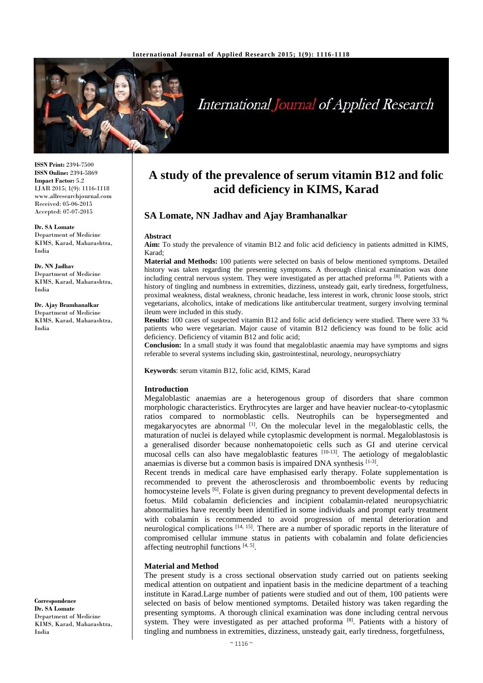

# **International Journal of Applied Research**

**ISSN Print:** 2394-7500 **ISSN Online:** 2394-5869 **Impact Factor:** 5.2 IJAR 2015; 1(9): 1116-1118 www.allresearchjournal.com Received: 05-06-2015 Accepted: 07-07-2015

**Dr. SA Lomate** Department of Medicine KIMS, Karad, Maharashtra, India

**Dr. NN Jadhav** Department of Medicine KIMS, Karad, Maharashtra, India

**Dr. Ajay Bramhanalkar** Department of Medicine KIMS, Karad, Maharashtra, India

**A study of the prevalence of serum vitamin B12 and folic acid deficiency in KIMS, Karad**

## **SA Lomate, NN Jadhav and Ajay Bramhanalkar**

#### **Abstract**

**Aim:** To study the prevalence of vitamin B12 and folic acid deficiency in patients admitted in KIMS, Karad;

**Material and Methods:** 100 patients were selected on basis of below mentioned symptoms. Detailed history was taken regarding the presenting symptoms. A thorough clinical examination was done including central nervous system. They were investigated as per attached preforma<sup>[8]</sup>. Patients with a history of tingling and numbness in extremities, dizziness, unsteady gait, early tiredness, forgetfulness, proximal weakness, distal weakness, chronic headache, less interest in work, chronic loose stools, strict vegetarians, alcoholics, intake of medications like antitubercular treatment, surgery involving terminal ileum were included in this study.

**Results:** 100 cases of suspected vitamin B12 and folic acid deficiency were studied. There were 33 % patients who were vegetarian. Major cause of vitamin B12 deficiency was found to be folic acid deficiency. Deficiency of vitamin B12 and folic acid;

**Conclusion:** In a small study it was found that megaloblastic anaemia may have symptoms and signs referable to several systems including skin, gastrointestinal, neurology, neuropsychiatry

**Keywords**: serum vitamin B12, folic acid, KIMS, Karad

### **Introduction**

Megaloblastic anaemias are a heterogenous group of disorders that share common morphologic characteristics. Erythrocytes are larger and have heavier nuclear-to-cytoplasmic ratios compared to normoblastic cells. Neutrophils can be hypersegmented and megakaryocytes are abnormal  $\left[1\right]$ . On the molecular level in the megaloblastic cells, the maturation of nuclei is delayed while cytoplasmic development is normal. Megaloblastosis is a generalised disorder because nonhematopoietic cells such as GI and uterine cervical mucosal cells can also have megaloblastic features [10-13]. The aetiology of megaloblastic anaemias is diverse but a common basis is impaired DNA synthesis  $[1-3]$ .

Recent trends in medical care have emphasised early therapy. Folate supplementation is recommended to prevent the atherosclerosis and thromboembolic events by reducing homocysteine levels <sup>[6]</sup>. Folate is given during pregnancy to prevent developmental defects in foetus. Mild cobalamin deficiencies and incipient cobalamin-related neuropsychiatric abnormalities have recently been identified in some individuals and prompt early treatment with cobalamin is recommended to avoid progression of mental deterioration and neurological complications [14, 15]. There are a number of sporadic reports in the literature of compromised cellular immune status in patients with cobalamin and folate deficiencies affecting neutrophil functions  $[4, 5]$ .

### **Material and Method**

The present study is a cross sectional observation study carried out on patients seeking medical attention on outpatient and inpatient basis in the medicine department of a teaching institute in Karad.Large number of patients were studied and out of them, 100 patients were selected on basis of below mentioned symptoms. Detailed history was taken regarding the presenting symptoms. A thorough clinical examination was done including central nervous system. They were investigated as per attached proforma<sup>[8]</sup>. Patients with a history of tingling and numbness in extremities, dizziness, unsteady gait, early tiredness, forgetfulness,

**Correspondence Dr. SA Lomate** Department of Medicine KIMS, Karad, Maharashtra, India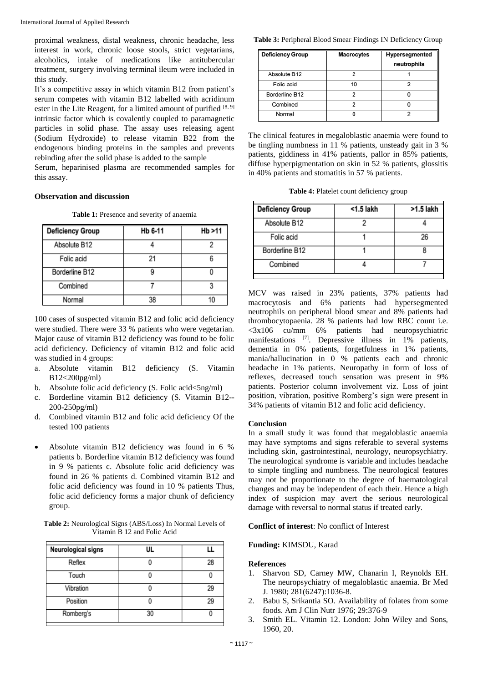proximal weakness, distal weakness, chronic headache, less interest in work, chronic loose stools, strict vegetarians, alcoholics, intake of medications like antitubercular treatment, surgery involving terminal ileum were included in this study.

It's a competitive assay in which vitamin B12 from patient's serum competes with vitamin B12 labelled with acridinum ester in the Lite Reagent, for a limited amount of purified  $[8, 9]$ intrinsic factor which is covalently coupled to paramagnetic particles in solid phase. The assay uses releasing agent (Sodium Hydroxide) to release vitamin B22 from the endogenous binding proteins in the samples and prevents rebinding after the solid phase is added to the sample

Serum, heparinised plasma are recommended samples for this assay.

## **Observation and discussion**

**Table 1:** Presence and severity of anaemia

| <b>Deficiency Group</b> | Hb 6-11 | Hb >11 |
|-------------------------|---------|--------|
| Absolute B12            |         |        |
| Folic acid              | 21      |        |
| Borderline B12          | g       |        |
| Combined                |         |        |
| Normal                  | 38      | ۱n     |

100 cases of suspected vitamin B12 and folic acid deficiency were studied. There were 33 % patients who were vegetarian. Major cause of vitamin B12 deficiency was found to be folic acid deficiency. Deficiency of vitamin B12 and folic acid was studied in 4 groups:

- a. Absolute vitamin B12 deficiency (S. Vitamin B12<200pg/ml)
- b. Absolute folic acid deficiency (S. Folic acid<5ng/ml)
- c. Borderline vitamin B12 deficiency (S. Vitamin B12-- 200-250pg/ml)
- d. Combined vitamin B12 and folic acid deficiency Of the tested 100 patients
- Absolute vitamin B12 deficiency was found in 6 % patients b. Borderline vitamin B12 deficiency was found in 9 % patients c. Absolute folic acid deficiency was found in 26 % patients d. Combined vitamin B12 and folic acid deficiency was found in 10 % patients Thus, folic acid deficiency forms a major chunk of deficiency group.

**Table 2:** Neurological Signs (ABS/Loss) In Normal Levels of Vitamin B 12 and Folic Acid

| <b>Neurological signs</b> | ul |    |
|---------------------------|----|----|
| Reflex                    |    | 28 |
| Touch                     |    |    |
| Vibration                 |    | 29 |
| Position                  |    | 29 |
| Romberg's                 | 30 |    |

**Table 3:** Peripheral Blood Smear Findings IN Deficiency Group

| <b>Deficiency Group</b> | <b>Macrocytes</b> | Hypersegmented<br>neutrophils |
|-------------------------|-------------------|-------------------------------|
| Absolute B12            |                   |                               |
| Folic acid              | 10                |                               |
| Borderline B12          |                   |                               |
| Combined                |                   |                               |
| Normal                  |                   |                               |

The clinical features in megaloblastic anaemia were found to be tingling numbness in 11 % patients, unsteady gait in 3 % patients, giddiness in 41% patients, pallor in 85% patients, diffuse hyperpigmentation on skin in 52 % patients, glossitis in 40% patients and stomatitis in 57 % patients.

**Table 4:** Platelet count deficiency group

| <b>Deficiency Group</b> | $<$ 1.5 lakh | >1.5 lakh |
|-------------------------|--------------|-----------|
| Absolute B12            |              |           |
| Folic acid              |              | 26        |
| Borderline B12          |              |           |
| Combined                |              |           |
|                         |              |           |

MCV was raised in 23% patients, 37% patients had macrocytosis and 6% patients had hypersegmented neutrophils on peripheral blood smear and 8% patients had thrombocytopaenia. 28 % patients had low RBC count i.e. <3x106 cu/mm 6% patients had neuropsychiatric manifestations [7]. Depressive illness in 1% patients, dementia in 0% patients, forgetfulness in 1% patients, mania/hallucination in 0 % patients each and chronic headache in 1% patients. Neuropathy in form of loss of reflexes, decreased touch sensation was present in 9% patients. Posterior column involvement viz. Loss of joint position, vibration, positive Romberg's sign were present in 34% patients of vitamin B12 and folic acid deficiency.

## **Conclusion**

In a small study it was found that megaloblastic anaemia may have symptoms and signs referable to several systems including skin, gastrointestinal, neurology, neuropsychiatry. The neurological syndrome is variable and includes headache to simple tingling and numbness. The neurological features may not be proportionate to the degree of haematological changes and may be independent of each their. Hence a high index of suspicion may avert the serious neurological damage with reversal to normal status if treated early.

## **Conflict of interest**: No conflict of Interest

**Funding:** KIMSDU, Karad

## **References**

- 1. Sharvon SD, Carney MW, Chanarin I, Reynolds EH. The neuropsychiatry of megaloblastic anaemia. Br Med J. 1980; 281(6247):1036-8.
- 2. Babu S, Srikantia SO. Availability of folates from some foods. Am J Clin Nutr 1976; 29:376-9
- 3. Smith EL. Vitamin 12. London: John Wiley and Sons, 1960, 20.